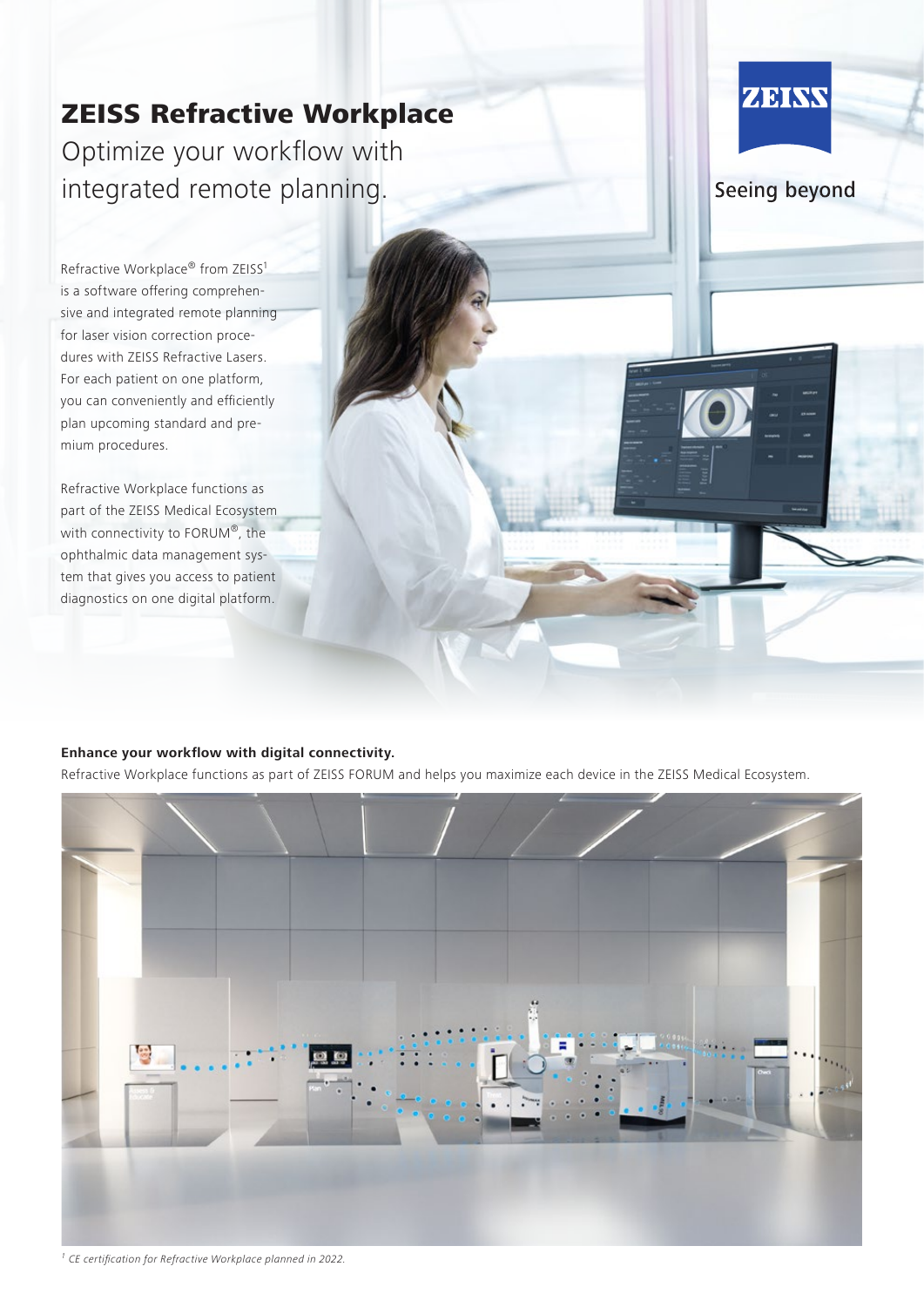# ZEISS Refractive Workplace Optimize your workflow with integrated remote planning.

Refractive Workplace® from ZEISS<sup>1</sup> is a software offering comprehensive and integrated remote planning for laser vision correction procedures with ZEISS Refractive Lasers. For each patient on one platform, you can conveniently and efficiently plan upcoming standard and premium procedures.

Refractive Workplace functions as part of the ZEISS Medical Ecosystem with connectivity to FORUM®, the ophthalmic data management system that gives you access to patient diagnostics on one digital platform.

## **Enhance your workflow with digital connectivity.**

Refractive Workplace functions as part of ZEISS FORUM and helps you maximize each device in the ZEISS Medical Ecosystem.



ZEINS

Seeing beyond

*1* CE certification for Refractive Workplace planned in 2022.